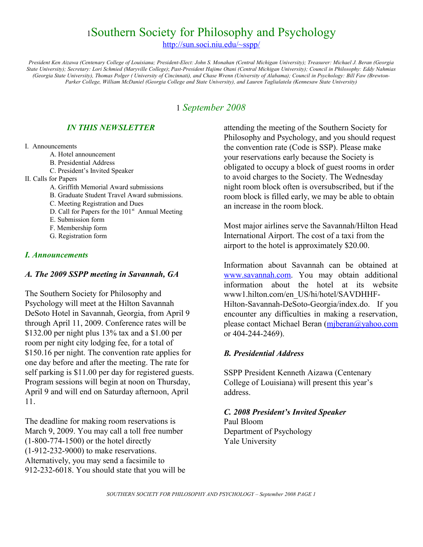# <sup>1</sup>Southern Society for Philosophy and Psychology

<http://sun.soci.niu.edu/~sspp/>

*President Ken Aizawa (Centenary College of Louisiana; President-Elect: John S. Monahan (Central Michigan University); Treasurer: Michael J. Beran (Georgia State University); Secretary: Lori Schmied (Maryville College)*; *Past-President Hajime Otani (Central Michigan University); Council in Philosophy: Eddy Nahmias (Georgia State University), Thomas Polger ( University of Cincinnati), and Chase Wrenn (University of Alabama); Council in Psychology: Bill Faw (Brewton-Parker College, William McDaniel (Georgia College and State University), and Lauren Taglialatela (Kennesaw State University)*

## 1 *September 2008*

### *IN THIS NEWSLETTER*

#### I. Announcements

- A. Hotel announcement
- B. Presidential Address
- C. President's Invited Speaker

### II. Calls for Papers

- A. Griffith Memorial Award submissions
- B. Graduate Student Travel Award submissions.
- C. Meeting Registration and Dues
- D. Call for Papers for the  $101<sup>st</sup>$  Annual Meeting
- E. Submission form
- F. Membership form
- G. Registration form

### *I. Announcements*

### *A. The 2009 SSPP meeting in Savannah, GA*

The Southern Society for Philosophy and Psychology will meet at the Hilton Savannah DeSoto Hotel in Savannah, Georgia, from April 9 through April 11, 2009. Conference rates will be \$132.00 per night plus 13% tax and a \$1.00 per room per night city lodging fee, for a total of \$150.16 per night. The convention rate applies for one day before and after the meeting. The rate for self parking is \$11.00 per day for registered guests. Program sessions will begin at noon on Thursday, April 9 and will end on Saturday afternoon, April 11.

The deadline for making room reservations is March 9, 2009. You may call a toll free number (1-800-774-1500) or the hotel directly (1-912-232-9000) to make reservations. Alternatively, you may send a facsimile to 912-232-6018. You should state that you will be attending the meeting of the Southern Society for Philosophy and Psychology, and you should request the convention rate (Code is SSP). Please make your reservations early because the Society is obligated to occupy a block of guest rooms in order to avoid charges to the Society. The Wednesday night room block often is oversubscribed, but if the room block is filled early, we may be able to obtain an increase in the room block.

Most major airlines serve the Savannah/Hilton Head International Airport. The cost of a taxi from the airport to the hotel is approximately \$20.00.

Information about Savannah can be obtained at [www.savannah.com.](http://www.savannah.com/) You may obtain additional information about the hotel at its website www1.hilton.com/en\_US/hi/hotel/SAVDHHF-Hilton-Savannah-DeSoto-Georgia/index.do. If you encounter any difficulties in making a reservation, please contact Michael Beran [\(mjberan@yahoo.com](mailto:mjberan@yahoo.com) or 404-244-2469).

### *B. Presidential Address*

SSPP President Kenneth Aizawa (Centenary College of Louisiana) will present this year's address.

### *C. 2008 President's Invited Speaker*

Paul Bloom Department of Psychology Yale University

*SOUTHERN SOCIETY FOR PHILOSOPHY AND PSYCHOLOGY – September 2008 PAGE 1*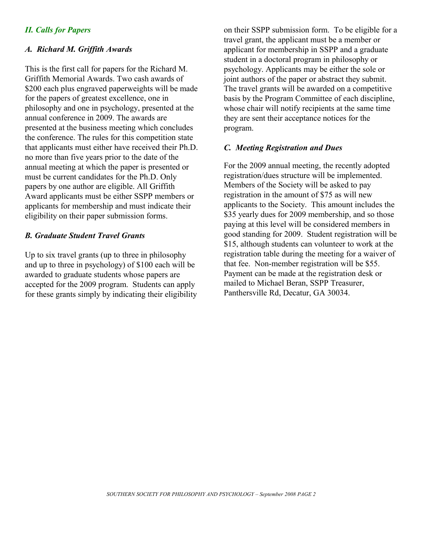### *II. Calls for Papers*

### *A. Richard M. Griffith Awards*

This is the first call for papers for the Richard M. Griffith Memorial Awards. Two cash awards of \$200 each plus engraved paperweights will be made for the papers of greatest excellence, one in philosophy and one in psychology, presented at the annual conference in 2009. The awards are presented at the business meeting which concludes the conference. The rules for this competition state that applicants must either have received their Ph.D. no more than five years prior to the date of the annual meeting at which the paper is presented or must be current candidates for the Ph.D. Only papers by one author are eligible. All Griffith Award applicants must be either SSPP members or applicants for membership and must indicate their eligibility on their paper submission forms.

### *B. Graduate Student Travel Grants*

Up to six travel grants (up to three in philosophy and up to three in psychology) of \$100 each will be awarded to graduate students whose papers are accepted for the 2009 program. Students can apply for these grants simply by indicating their eligibility

on their SSPP submission form. To be eligible for a travel grant, the applicant must be a member or applicant for membership in SSPP and a graduate student in a doctoral program in philosophy or psychology. Applicants may be either the sole or joint authors of the paper or abstract they submit. The travel grants will be awarded on a competitive basis by the Program Committee of each discipline, whose chair will notify recipients at the same time they are sent their acceptance notices for the program.

### *C. Meeting Registration and Dues*

For the 2009 annual meeting, the recently adopted registration/dues structure will be implemented. Members of the Society will be asked to pay registration in the amount of \$75 as will new applicants to the Society. This amount includes the \$35 yearly dues for 2009 membership, and so those paying at this level will be considered members in good standing for 2009. Student registration will be \$15, although students can volunteer to work at the registration table during the meeting for a waiver of that fee. Non-member registration will be \$55. Payment can be made at the registration desk or mailed to Michael Beran, SSPP Treasurer, Panthersville Rd, Decatur, GA 30034.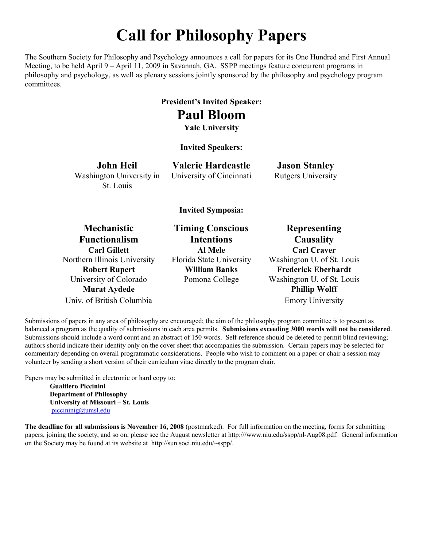# **Call for Philosophy Papers**

The Southern Society for Philosophy and Psychology announces a call for papers for its One Hundred and First Annual Meeting, to be held April 9 – April 11, 2009 in Savannah, GA. SSPP meetings feature concurrent programs in philosophy and psychology, as well as plenary sessions jointly sponsored by the philosophy and psychology program committees.

# **President's Invited Speaker:**

**Paul Bloom**

**Yale University**

### **Invited Speakers:**

**John Heil** Washington University in St. Louis

**Valerie Hardcastle** University of Cincinnati

**Jason Stanley** Rutgers University

### **Invited Symposia:**

**Mechanistic Functionalism** Northern Illinois University Florida State University Washington U. of St. Louis **Murat Aydede Phillip Wolff** Univ. of British Columbia Emory University

**Timing Conscious Intentions Carl Gillett Al Mele Carl Craver**

**Representing Causality Robert Rupert William Banks Frederick Eberhardt** University of Colorado Pomona College Washington U. of St. Louis

Submissions of papers in any area of philosophy are encouraged; the aim of the philosophy program committee is to present as balanced a program as the quality of submissions in each area permits. **Submissions exceeding 3000 words will not be considered**. Submissions should include a word count and an abstract of 150 words. Self-reference should be deleted to permit blind reviewing; authors should indicate their identity only on the cover sheet that accompanies the submission. Certain papers may be selected for commentary depending on overall programmatic considerations. People who wish to comment on a paper or chair a session may volunteer by sending a short version of their curriculum vitae directly to the program chair.

Papers may be submitted in electronic or hard copy to:

**Gualtiero Piccinini Department of Philosophy University of Missouri – St. Louis** [piccininig@umsl.edu](mailto:piccininig@umsl.edu)

**The deadline for all submissions is November 16, 2008** (postmarked). For full information on the meeting, forms for submitting papers, joining the society, and so on, please see the August newsletter at http:///www.niu.edu/sspp/nl-Aug08.pdf. General information on the Society may be found at its website at http://sun.soci.niu.edu/~sspp/.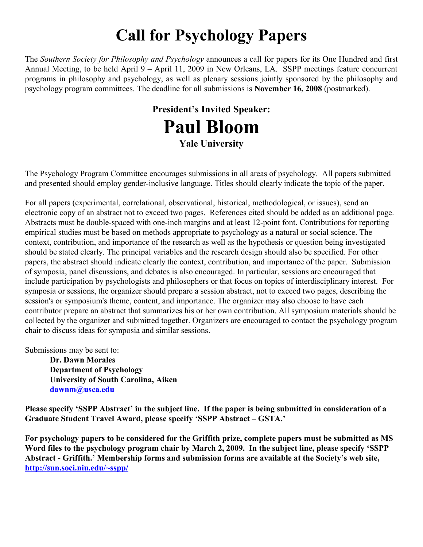# **Call for Psychology Papers**

The *Southern Society for Philosophy and Psychology* announces a call for papers for its One Hundred and first Annual Meeting, to be held April 9 – April 11, 2009 in New Orleans, LA. SSPP meetings feature concurrent programs in philosophy and psychology, as well as plenary sessions jointly sponsored by the philosophy and psychology program committees. The deadline for all submissions is **November 16, 2008** (postmarked).

# **President's Invited Speaker: Paul Bloom Yale University**

The Psychology Program Committee encourages submissions in all areas of psychology. All papers submitted and presented should employ gender-inclusive language. Titles should clearly indicate the topic of the paper.

For all papers (experimental, correlational, observational, historical, methodological, or issues), send an electronic copy of an abstract not to exceed two pages. References cited should be added as an additional page. Abstracts must be double-spaced with one-inch margins and at least 12-point font. Contributions for reporting empirical studies must be based on methods appropriate to psychology as a natural or social science. The context, contribution, and importance of the research as well as the hypothesis or question being investigated should be stated clearly. The principal variables and the research design should also be specified. For other papers, the abstract should indicate clearly the context, contribution, and importance of the paper. Submission of symposia, panel discussions, and debates is also encouraged. In particular, sessions are encouraged that include participation by psychologists and philosophers or that focus on topics of interdisciplinary interest. For symposia or sessions, the organizer should prepare a session abstract, not to exceed two pages, describing the session's or symposium's theme, content, and importance. The organizer may also choose to have each contributor prepare an abstract that summarizes his or her own contribution. All symposium materials should be collected by the organizer and submitted together. Organizers are encouraged to contact the psychology program chair to discuss ideas for symposia and similar sessions.

Submissions may be sent to:

**Dr. Dawn Morales Department of Psychology University of South Carolina, Aiken [dawnm@usca.edu](mailto:dawnm@usca.edu)**

**Please specify 'SSPP Abstract' in the subject line. If the paper is being submitted in consideration of a Graduate Student Travel Award, please specify 'SSPP Abstract – GSTA.'**

**For psychology papers to be considered for the Griffith prize, complete papers must be submitted as MS Word files to the psychology program chair by March 2, 2009. In the subject line, please specify 'SSPP Abstract - Griffith.' Membership forms and submission forms are available at the Society's web site, <http://sun.soci.niu.edu/~sspp/>**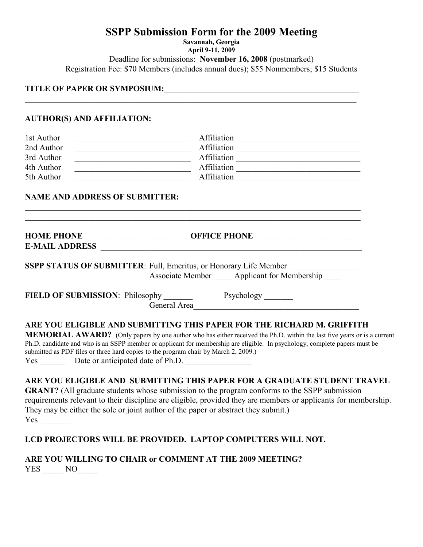## **SSPP Submission Form for the 2009 Meeting**

**Savannah, Georgia April 9-11, 2009** Deadline for submissions: **November 16, 2008** (postmarked) Registration Fee: \$70 Members (includes annual dues); \$55 Nonmembers; \$15 Students

**TITLE OF PAPER OR SYMPOSIUM:**\_\_\_\_\_\_\_\_\_\_\_\_\_\_\_\_\_\_\_\_\_\_\_\_\_\_\_\_\_\_\_\_\_\_\_\_\_\_\_\_\_\_\_\_\_\_\_

### **AUTHOR(S) AND AFFILIATION:**

| 1st Author | Affiliation |
|------------|-------------|
| 2nd Author | Affiliation |
| 3rd Author | Affiliation |
| 4th Author | Affiliation |
| 5th Author | Affiliation |

 $\mathcal{L}_\mathcal{L} = \{ \mathcal{L}_\mathcal{L} = \{ \mathcal{L}_\mathcal{L} = \{ \mathcal{L}_\mathcal{L} = \{ \mathcal{L}_\mathcal{L} = \{ \mathcal{L}_\mathcal{L} = \{ \mathcal{L}_\mathcal{L} = \{ \mathcal{L}_\mathcal{L} = \{ \mathcal{L}_\mathcal{L} = \{ \mathcal{L}_\mathcal{L} = \{ \mathcal{L}_\mathcal{L} = \{ \mathcal{L}_\mathcal{L} = \{ \mathcal{L}_\mathcal{L} = \{ \mathcal{L}_\mathcal{L} = \{ \mathcal{L}_\mathcal{$ 

### **NAME AND ADDRESS OF SUBMITTER:**

| <b>HOME PHONE</b>     | <b>OFFICE PHONE</b> |  |
|-----------------------|---------------------|--|
| <b>E-MAIL ADDRESS</b> |                     |  |

 $\mathcal{L}_\mathcal{L} = \{ \mathcal{L}_\mathcal{L} = \{ \mathcal{L}_\mathcal{L} = \{ \mathcal{L}_\mathcal{L} = \{ \mathcal{L}_\mathcal{L} = \{ \mathcal{L}_\mathcal{L} = \{ \mathcal{L}_\mathcal{L} = \{ \mathcal{L}_\mathcal{L} = \{ \mathcal{L}_\mathcal{L} = \{ \mathcal{L}_\mathcal{L} = \{ \mathcal{L}_\mathcal{L} = \{ \mathcal{L}_\mathcal{L} = \{ \mathcal{L}_\mathcal{L} = \{ \mathcal{L}_\mathcal{L} = \{ \mathcal{L}_\mathcal{$  $\mathcal{L}_\mathcal{L} = \{ \mathcal{L}_\mathcal{L} = \{ \mathcal{L}_\mathcal{L} = \{ \mathcal{L}_\mathcal{L} = \{ \mathcal{L}_\mathcal{L} = \{ \mathcal{L}_\mathcal{L} = \{ \mathcal{L}_\mathcal{L} = \{ \mathcal{L}_\mathcal{L} = \{ \mathcal{L}_\mathcal{L} = \{ \mathcal{L}_\mathcal{L} = \{ \mathcal{L}_\mathcal{L} = \{ \mathcal{L}_\mathcal{L} = \{ \mathcal{L}_\mathcal{L} = \{ \mathcal{L}_\mathcal{L} = \{ \mathcal{L}_\mathcal{$ 

**SSPP STATUS OF SUBMITTER:** Full, Emeritus, or Honorary Life Member Associate Member \_\_\_\_\_ Applicant for Membership

**FIELD OF SUBMISSION:** Philosophy Psychology Prove General Area

### **ARE YOU ELIGIBLE AND SUBMITTING THIS PAPER FOR THE RICHARD M. GRIFFITH**

**MEMORIAL AWARD?** (Only papers by one author who has either received the Ph.D. within the last five years or is a current Ph.D. candidate and who is an SSPP member or applicant for membership are eligible. In psychology, complete papers must be submitted as PDF files or three hard copies to the program chair by March 2, 2009.) Yes \_\_\_\_\_\_ Date or anticipated date of Ph.D. \_\_\_\_\_\_\_\_\_\_\_\_\_\_\_\_

### **ARE YOU ELIGIBLE AND SUBMITTING THIS PAPER FOR A GRADUATE STUDENT TRAVEL**

**GRANT?** (All graduate students whose submission to the program conforms to the SSPP submission requirements relevant to their discipline are eligible, provided they are members or applicants for membership. They may be either the sole or joint author of the paper or abstract they submit.) Yes  $\sim$ 

### **LCD PROJECTORS WILL BE PROVIDED. LAPTOP COMPUTERS WILL NOT.**

**ARE YOU WILLING TO CHAIR or COMMENT AT THE 2009 MEETING?** YES NO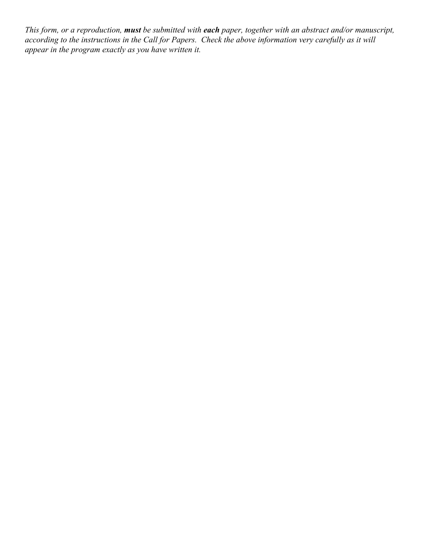*This form, or a reproduction, must be submitted with each paper, together with an abstract and/or manuscript, according to the instructions in the Call for Papers. Check the above information very carefully as it will appear in the program exactly as you have written it.*